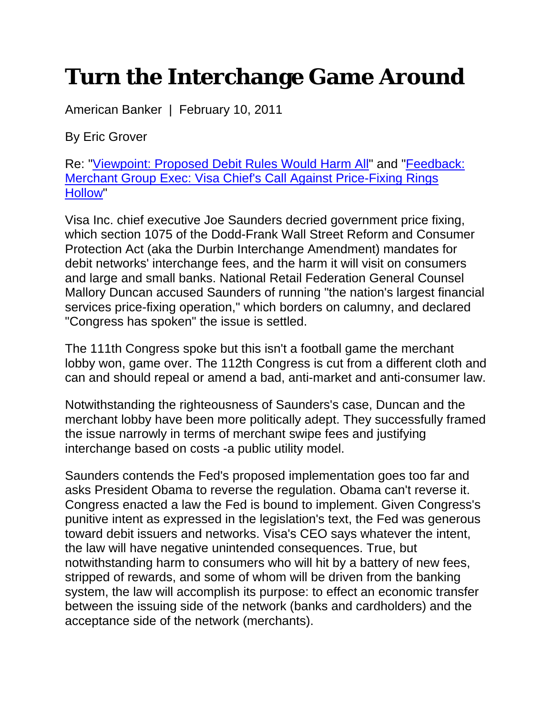## **Turn the Interchange Game Around**

American Banker | February 10, 2011

By Eric Grover

Re: "Viewpoint: Proposed Debit Rules Would Harm All" and "Feedback: Merchant Group Exec: Visa Chief's Call Against Price-Fixing Rings Hollow"

Visa Inc. chief executive Joe Saunders decried government price fixing, which section 1075 of the Dodd-Frank Wall Street Reform and Consumer Protection Act (aka the Durbin Interchange Amendment) mandates for debit networks' interchange fees, and the harm it will visit on consumers and large and small banks. National Retail Federation General Counsel Mallory Duncan accused Saunders of running "the nation's largest financial services price-fixing operation," which borders on calumny, and declared "Congress has spoken" the issue is settled.

The 111th Congress spoke but this isn't a football game the merchant lobby won, game over. The 112th Congress is cut from a different cloth and can and should repeal or amend a bad, anti-market and anti-consumer law.

Notwithstanding the righteousness of Saunders's case, Duncan and the merchant lobby have been more politically adept. They successfully framed the issue narrowly in terms of merchant swipe fees and justifying interchange based on costs -a public utility model.

Saunders contends the Fed's proposed implementation goes too far and asks President Obama to reverse the regulation. Obama can't reverse it. Congress enacted a law the Fed is bound to implement. Given Congress's punitive intent as expressed in the legislation's text, the Fed was generous toward debit issuers and networks. Visa's CEO says whatever the intent, the law will have negative unintended consequences. True, but notwithstanding harm to consumers who will hit by a battery of new fees, stripped of rewards, and some of whom will be driven from the banking system, the law will accomplish its purpose: to effect an economic transfer between the issuing side of the network (banks and cardholders) and the acceptance side of the network (merchants).